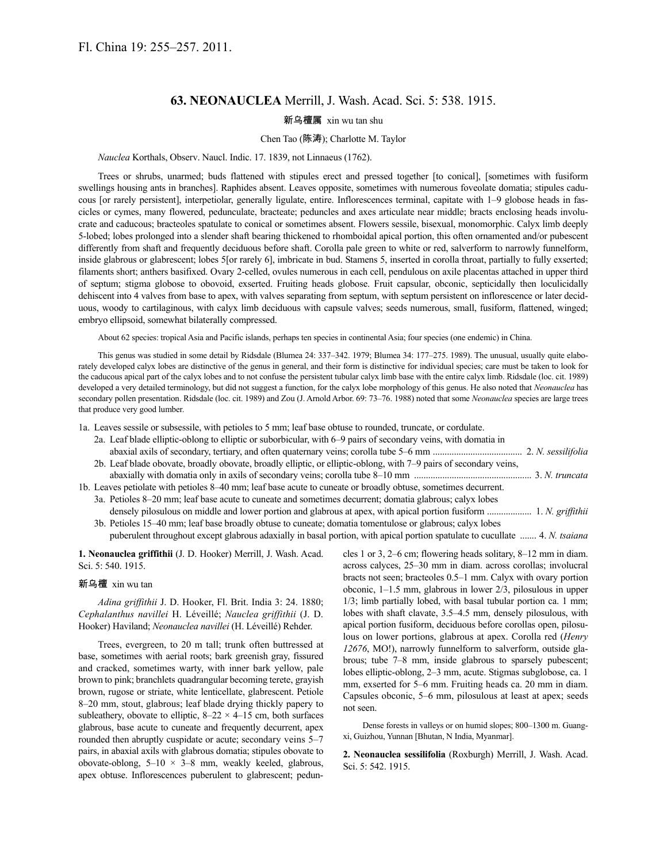# **63. NEONAUCLEA** Merrill, J. Wash. Acad. Sci. 5: 538. 1915.

### 新乌檀属 xin wu tan shu

### Chen Tao (陈涛); Charlotte M. Taylor

*Nauclea* Korthals, Observ. Naucl. Indic. 17. 1839, not Linnaeus (1762).

Trees or shrubs, unarmed; buds flattened with stipules erect and pressed together [to conical], [sometimes with fusiform swellings housing ants in branches]. Raphides absent. Leaves opposite, sometimes with numerous foveolate domatia; stipules caducous [or rarely persistent], interpetiolar, generally ligulate, entire. Inflorescences terminal, capitate with 1–9 globose heads in fascicles or cymes, many flowered, pedunculate, bracteate; peduncles and axes articulate near middle; bracts enclosing heads involucrate and caducous; bracteoles spatulate to conical or sometimes absent. Flowers sessile, bisexual, monomorphic. Calyx limb deeply 5-lobed; lobes prolonged into a slender shaft bearing thickened to rhomboidal apical portion, this often ornamented and/or pubescent differently from shaft and frequently deciduous before shaft. Corolla pale green to white or red, salverform to narrowly funnelform, inside glabrous or glabrescent; lobes 5[or rarely 6], imbricate in bud. Stamens 5, inserted in corolla throat, partially to fully exserted; filaments short; anthers basifixed. Ovary 2-celled, ovules numerous in each cell, pendulous on axile placentas attached in upper third of septum; stigma globose to obovoid, exserted. Fruiting heads globose. Fruit capsular, obconic, septicidally then loculicidally dehiscent into 4 valves from base to apex, with valves separating from septum, with septum persistent on inflorescence or later deciduous, woody to cartilaginous, with calyx limb deciduous with capsule valves; seeds numerous, small, fusiform, flattened, winged; embryo ellipsoid, somewhat bilaterally compressed.

About 62 species: tropical Asia and Pacific islands, perhaps ten species in continental Asia; four species (one endemic) in China.

This genus was studied in some detail by Ridsdale (Blumea 24: 337–342. 1979; Blumea 34: 177–275. 1989). The unusual, usually quite elaborately developed calyx lobes are distinctive of the genus in general, and their form is distinctive for individual species; care must be taken to look for the caducous apical part of the calyx lobes and to not confuse the persistent tubular calyx limb base with the entire calyx limb. Ridsdale (loc. cit. 1989) developed a very detailed terminology, but did not suggest a function, for the calyx lobe morphology of this genus. He also noted that *Neonauclea* has secondary pollen presentation. Ridsdale (loc. cit. 1989) and Zou (J. Arnold Arbor. 69: 73–76. 1988) noted that some *Neonauclea* species are large trees that produce very good lumber.

1a. Leaves sessile or subsessile, with petioles to 5 mm; leaf base obtuse to rounded, truncate, or cordulate.

| 2a. Leaf blade elliptic-oblong to elliptic or suborbicular, with 6–9 pairs of secondary veins, with domatia in    |                     |
|-------------------------------------------------------------------------------------------------------------------|---------------------|
|                                                                                                                   |                     |
| 2b. Leaf blade obovate, broadly obovate, broadly elliptic, or elliptic-oblong, with 7–9 pairs of secondary veins, |                     |
|                                                                                                                   |                     |
| 1b. Leaves petiolate with petioles 8–40 mm; leaf base acute to cuneate or broadly obtuse, sometimes decurrent.    |                     |
| 3a. Petioles 8–20 mm; leaf base acute to cuneate and sometimes decurrent; domatia glabrous; calvx lobes           |                     |
| , the colored control on the different decomposition of a claim of a colored the colored a catholic Configuration | $1 N \sim \alpha l$ |

densely pilosulous on middle and lower portion and glabrous at apex, with apical portion fusiform ................... 1. *N. griffithii* 3b. Petioles 15–40 mm; leaf base broadly obtuse to cuneate; domatia tomentulose or glabrous; calyx lobes puberulent throughout except glabrous adaxially in basal portion, with apical portion spatulate to cucullate ....... 4. *N. tsaiana*

**1. Neonauclea griffithii** (J. D. Hooker) Merrill, J. Wash. Acad. Sci. 5: 540. 1915.

### 新乌檀 xin wu tan

*Adina griffithii* J. D. Hooker, Fl. Brit. India 3: 24. 1880; *Cephalanthus navillei* H. Léveillé; *Nauclea griffithii* (J. D. Hooker) Haviland; *Neonauclea navillei* (H. Léveillé) Rehder.

Trees, evergreen, to 20 m tall; trunk often buttressed at base, sometimes with aerial roots; bark greenish gray, fissured and cracked, sometimes warty, with inner bark yellow, pale brown to pink; branchlets quadrangular becoming terete, grayish brown, rugose or striate, white lenticellate, glabrescent. Petiole 8–20 mm, stout, glabrous; leaf blade drying thickly papery to subleathery, obovate to elliptic,  $8-22 \times 4-15$  cm, both surfaces glabrous, base acute to cuneate and frequently decurrent, apex rounded then abruptly cuspidate or acute; secondary veins 5–7 pairs, in abaxial axils with glabrous domatia; stipules obovate to obovate-oblong,  $5-10 \times 3-8$  mm, weakly keeled, glabrous, apex obtuse. Inflorescences puberulent to glabrescent; peduncles 1 or 3, 2–6 cm; flowering heads solitary, 8–12 mm in diam. across calyces, 25–30 mm in diam. across corollas; involucral bracts not seen; bracteoles 0.5–1 mm. Calyx with ovary portion obconic, 1–1.5 mm, glabrous in lower 2/3, pilosulous in upper 1/3; limb partially lobed, with basal tubular portion ca. 1 mm; lobes with shaft clavate, 3.5–4.5 mm, densely pilosulous, with apical portion fusiform, deciduous before corollas open, pilosulous on lower portions, glabrous at apex. Corolla red (*Henry 12676*, MO!), narrowly funnelform to salverform, outside glabrous; tube 7–8 mm, inside glabrous to sparsely pubescent; lobes elliptic-oblong, 2–3 mm, acute. Stigmas subglobose, ca. 1 mm, exserted for 5–6 mm. Fruiting heads ca. 20 mm in diam. Capsules obconic, 5–6 mm, pilosulous at least at apex; seeds not seen.

Dense forests in valleys or on humid slopes; 800–1300 m. Guangxi, Guizhou, Yunnan [Bhutan, N India, Myanmar].

**2. Neonauclea sessilifolia** (Roxburgh) Merrill, J. Wash. Acad. Sci. 5: 542. 1915.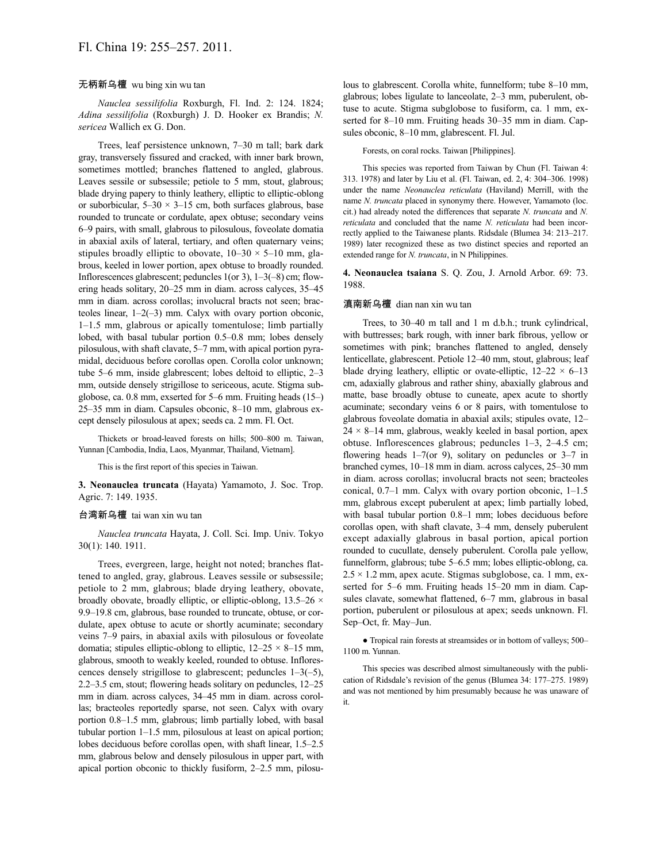## 无柄新乌檀 wu bing xin wu tan

*Nauclea sessilifolia* Roxburgh, Fl. Ind. 2: 124. 1824; *Adina sessilifolia* (Roxburgh) J. D. Hooker ex Brandis; *N. sericea* Wallich ex G. Don.

Trees, leaf persistence unknown, 7–30 m tall; bark dark gray, transversely fissured and cracked, with inner bark brown, sometimes mottled; branches flattened to angled, glabrous. Leaves sessile or subsessile; petiole to 5 mm, stout, glabrous; blade drying papery to thinly leathery, elliptic to elliptic-oblong or suborbicular,  $5-30 \times 3-15$  cm, both surfaces glabrous, base rounded to truncate or cordulate, apex obtuse; secondary veins 6–9 pairs, with small, glabrous to pilosulous, foveolate domatia in abaxial axils of lateral, tertiary, and often quaternary veins; stipules broadly elliptic to obovate,  $10-30 \times 5-10$  mm, glabrous, keeled in lower portion, apex obtuse to broadly rounded. Inflorescences glabrescent; peduncles 1(or 3), 1–3(–8) cm; flowering heads solitary, 20–25 mm in diam. across calyces, 35–45 mm in diam. across corollas; involucral bracts not seen; bracteoles linear, 1–2(–3) mm. Calyx with ovary portion obconic, 1–1.5 mm, glabrous or apically tomentulose; limb partially lobed, with basal tubular portion 0.5–0.8 mm; lobes densely pilosulous, with shaft clavate, 5–7 mm, with apical portion pyramidal, deciduous before corollas open. Corolla color unknown; tube 5–6 mm, inside glabrescent; lobes deltoid to elliptic, 2–3 mm, outside densely strigillose to sericeous, acute. Stigma subglobose, ca. 0.8 mm, exserted for 5–6 mm. Fruiting heads (15–) 25–35 mm in diam. Capsules obconic, 8–10 mm, glabrous except densely pilosulous at apex; seeds ca. 2 mm. Fl. Oct.

Thickets or broad-leaved forests on hills; 500–800 m. Taiwan, Yunnan [Cambodia, India, Laos, Myanmar, Thailand, Vietnam].

This is the first report of this species in Taiwan.

**3. Neonauclea truncata** (Hayata) Yamamoto, J. Soc. Trop. Agric. 7: 149. 1935.

#### 台湾新乌檀 tai wan xin wu tan

*Nauclea truncata* Hayata, J. Coll. Sci. Imp. Univ. Tokyo 30(1): 140. 1911.

Trees, evergreen, large, height not noted; branches flattened to angled, gray, glabrous. Leaves sessile or subsessile; petiole to 2 mm, glabrous; blade drying leathery, obovate, broadly obovate, broadly elliptic, or elliptic-oblong,  $13.5-26 \times$ 9.9–19.8 cm, glabrous, base rounded to truncate, obtuse, or cordulate, apex obtuse to acute or shortly acuminate; secondary veins 7–9 pairs, in abaxial axils with pilosulous or foveolate domatia; stipules elliptic-oblong to elliptic,  $12-25 \times 8-15$  mm, glabrous, smooth to weakly keeled, rounded to obtuse. Inflorescences densely strigillose to glabrescent; peduncles 1–3(–5), 2.2–3.5 cm, stout; flowering heads solitary on peduncles, 12–25 mm in diam. across calyces, 34–45 mm in diam. across corollas; bracteoles reportedly sparse, not seen. Calyx with ovary portion 0.8–1.5 mm, glabrous; limb partially lobed, with basal tubular portion 1–1.5 mm, pilosulous at least on apical portion; lobes deciduous before corollas open, with shaft linear, 1.5–2.5 mm, glabrous below and densely pilosulous in upper part, with apical portion obconic to thickly fusiform, 2–2.5 mm, pilosulous to glabrescent. Corolla white, funnelform; tube 8–10 mm, glabrous; lobes ligulate to lanceolate, 2–3 mm, puberulent, obtuse to acute. Stigma subglobose to fusiform, ca. 1 mm, exserted for 8–10 mm. Fruiting heads 30–35 mm in diam. Capsules obconic, 8–10 mm, glabrescent. Fl. Jul.

Forests, on coral rocks. Taiwan [Philippines].

This species was reported from Taiwan by Chun (Fl. Taiwan 4: 313. 1978) and later by Liu et al. (Fl. Taiwan, ed. 2, 4: 304–306. 1998) under the name *Neonauclea reticulata* (Haviland) Merrill, with the name *N. truncata* placed in synonymy there. However, Yamamoto (loc. cit.) had already noted the differences that separate *N. truncata* and *N. reticulata* and concluded that the name *N. reticulata* had been incorrectly applied to the Taiwanese plants. Ridsdale (Blumea 34: 213–217. 1989) later recognized these as two distinct species and reported an extended range for *N. truncata*, in N Philippines.

**4. Neonauclea tsaiana** S. Q. Zou, J. Arnold Arbor. 69: 73. 1988.

#### 滇南新乌檀 dian nan xin wu tan

Trees, to 30–40 m tall and 1 m d.b.h.; trunk cylindrical, with buttresses; bark rough, with inner bark fibrous, yellow or sometimes with pink; branches flattened to angled, densely lenticellate, glabrescent. Petiole 12–40 mm, stout, glabrous; leaf blade drying leathery, elliptic or ovate-elliptic,  $12-22 \times 6-13$ cm, adaxially glabrous and rather shiny, abaxially glabrous and matte, base broadly obtuse to cuneate, apex acute to shortly acuminate; secondary veins 6 or 8 pairs, with tomentulose to glabrous foveolate domatia in abaxial axils; stipules ovate, 12–  $24 \times 8 - 14$  mm, glabrous, weakly keeled in basal portion, apex obtuse. Inflorescences glabrous; peduncles 1–3, 2–4.5 cm; flowering heads 1–7(or 9), solitary on peduncles or 3–7 in branched cymes, 10–18 mm in diam. across calyces, 25–30 mm in diam. across corollas; involucral bracts not seen; bracteoles conical, 0.7–1 mm. Calyx with ovary portion obconic, 1–1.5 mm, glabrous except puberulent at apex; limb partially lobed, with basal tubular portion 0.8–1 mm; lobes deciduous before corollas open, with shaft clavate, 3–4 mm, densely puberulent except adaxially glabrous in basal portion, apical portion rounded to cucullate, densely puberulent. Corolla pale yellow, funnelform, glabrous; tube 5–6.5 mm; lobes elliptic-oblong, ca.  $2.5 \times 1.2$  mm, apex acute. Stigmas subglobose, ca. 1 mm, exserted for 5–6 mm. Fruiting heads 15–20 mm in diam. Capsules clavate, somewhat flattened, 6–7 mm, glabrous in basal portion, puberulent or pilosulous at apex; seeds unknown. Fl. Sep–Oct, fr. May–Jun.

● Tropical rain forests at streamsides or in bottom of valleys; 500– 1100 m. Yunnan.

This species was described almost simultaneously with the publication of Ridsdale's revision of the genus (Blumea 34: 177–275. 1989) and was not mentioned by him presumably because he was unaware of it.